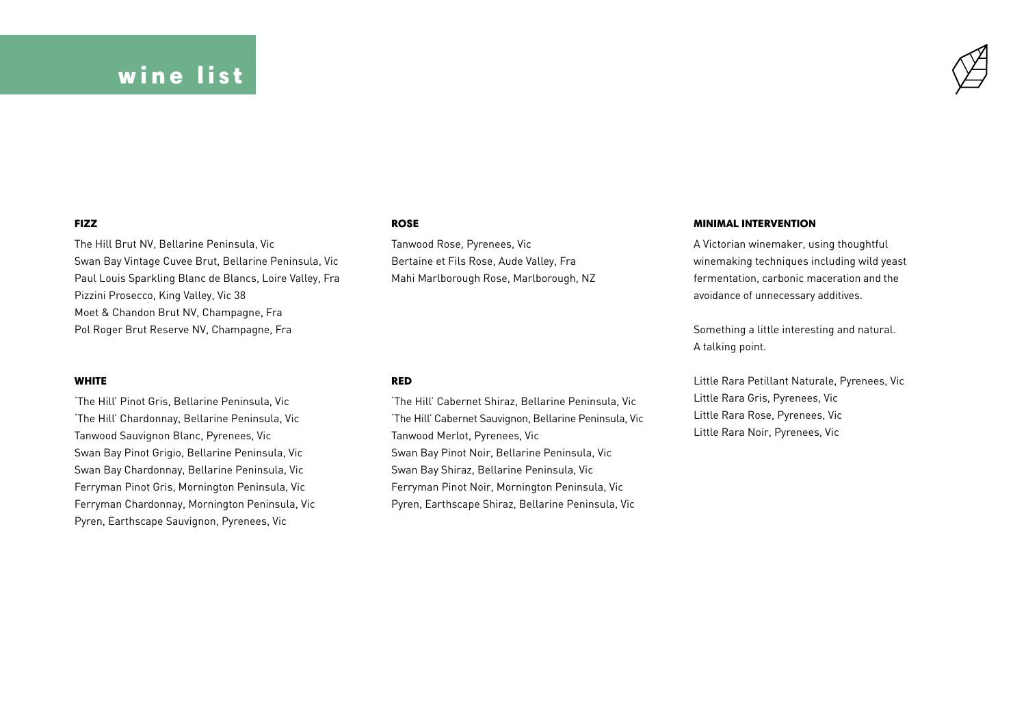## wine list



#### FIZZ

The Hill Brut NV, Bellarine Peninsula, Vic Swan Bay Vintage Cuvee Brut, Bellarine Peninsula, Vic Paul Louis Sparkling Blanc de Blancs, Loire Valley, Fra Pizzini Prosecco, King Valley, Vic 38 Moet & Chandon Brut NV, Champagne, Fra Pol Roger Brut Reserve NV, Champagne, Fra

#### WHITE

'The Hill' Pinot Gris, Bellarine Peninsula, Vic 'The Hill' Chardonnay, Bellarine Peninsula, Vic Tanwood Sauvignon Blanc, Pyrenees, Vic Swan Bay Pinot Grigio, Bellarine Peninsula, Vic Swan Bay Chardonnay, Bellarine Peninsula, Vic Ferryman Pinot Gris, Mornington Peninsula, Vic Ferryman Chardonnay, Mornington Peninsula, Vic Pyren, Earthscape Sauvignon, Pyrenees, Vic

#### ROSE

Tanwood Rose, Pyrenees, Vic Bertaine et Fils Rose, Aude Valley, Fra Mahi Marlborough Rose, Marlborough, NZ

#### RED

'The Hill' Cabernet Shiraz, Bellarine Peninsula, Vic 'The Hill' Cabernet Sauvignon, Bellarine Peninsula, Vic Tanwood Merlot, Pyrenees, Vic Swan Bay Pinot Noir, Bellarine Peninsula, Vic Swan Bay Shiraz, Bellarine Peninsula, Vic Ferryman Pinot Noir, Mornington Peninsula, Vic Pyren, Earthscape Shiraz, Bellarine Peninsula, Vic

#### MINIMAL INTERVENTION

A Victorian winemaker, using thoughtful winemaking techniques including wild yeast fermentation, carbonic maceration and the avoidance of unnecessary additives.

Something a little interesting and natural. A talking point.

Little Rara Petillant Naturale, Pyrenees, Vic Little Rara Gris, Pyrenees, Vic Little Rara Rose, Pyrenees, Vic Little Rara Noir, Pyrenees, Vic